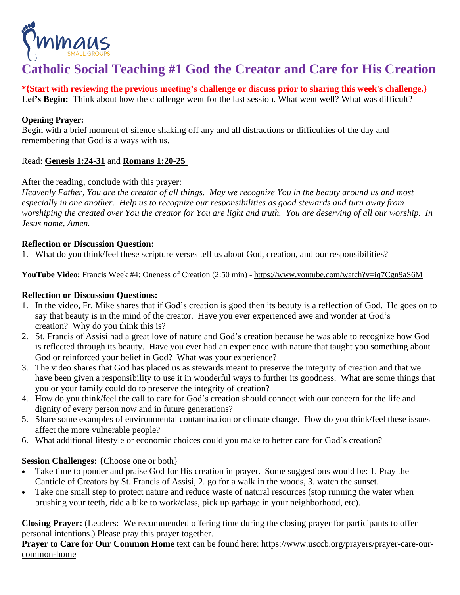

## **Catholic Social Teaching #1 God the Creator and Care for His Creation**

**\*{Start with reviewing the previous meeting's challenge or discuss prior to sharing this week's challenge.}** Let's **Begin:** Think about how the challenge went for the last session. What went well? What was difficult?

## **Opening Prayer:**

Begin with a brief moment of silence shaking off any and all distractions or difficulties of the day and remembering that God is always with us.

## Read: **[Genesis](https://bible.usccb.org/bible/genesis/1?24) 1:24-31** and **[Romans](https://bible.usccb.org/bible/romans/1?20) 1:20-25**

## After the reading, conclude with this prayer:

Heavenly Father, You are the creator of all things. May we recognize You in the beauty around us and most *especially in one another. Help us to recognize our responsibilities as good stewards and turn away from* worshiping the created over You the creator for You are light and truth. You are deserving of all our worship. In *Jesus name, Amen.*

## **Reflection or Discussion Question:**

1. What do you think/feel these scripture verses tell us about God, creation, and our responsibilities?

**YouTube Video:** Francis Week #4: Oneness of Creation (2:50 min) - <https://www.youtube.com/watch?v=iq7Cgn9aS6M>

## **Reflection or Discussion Questions:**

- 1. In the video, Fr. Mike shares that if God's creation is good then its beauty is a reflection of God. He goes on to say that beauty is in the mind of the creator. Have you ever experienced awe and wonder at God's creation? Why do you think this is?
- 2. St. Francis of Assisi had a great love of nature and God's creation because he was able to recognize how God is reflected through its beauty. Have you ever had an experience with nature that taught you something about God or reinforced your belief in God? What was your experience?
- 3. The video shares that God has placed us as stewards meant to preserve the integrity of creation and that we have been given a responsibility to use it in wonderful ways to further its goodness. What are some things that you or your family could do to preserve the integrity of creation?
- 4. How do you think/feel the call to care for God's creation should connect with our concern for the life and dignity of every person now and in future generations?
- 5. Share some examples of environmental contamination or climate change. How do you think/feel these issues affect the more vulnerable people?
- 6. What additional lifestyle or economic choices could you make to better care for God's creation?

## **Session Challenges:** {Choose one or both}

- Take time to ponder and praise God for His creation in prayer. Some suggestions would be: 1. Pray the Canticle of [Creators](https://www.xavier.edu/jesuitresource/online-resources/documents/canticleofthecreatures-whitebackground.pdf) by St. Francis of Assisi, 2. go for a walk in the woods, 3. watch the sunset.
- Take one small step to protect nature and reduce waste of natural resources (stop running the water when brushing your teeth, ride a bike to work/class, pick up garbage in your neighborhood, etc).

**Closing Prayer:** (Leaders: We recommended offering time during the closing prayer for participants to offer personal intentions.) Please pray this prayer together.

**Prayer to Care for Our Common Home** text can be found here: [https://www.usccb.org/prayers/prayer-care-our](https://www.usccb.org/prayers/prayer-care-our-common-home)[common-home](https://www.usccb.org/prayers/prayer-care-our-common-home)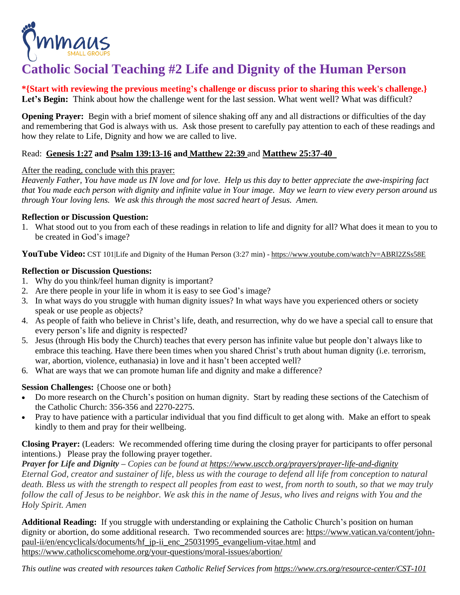

# **Catholic Social Teaching #2 Life and Dignity of the Human Person**

**\*{Start with reviewing the previous meeting's challenge or discuss prior to sharing this week's challenge.}** Let's **Begin:** Think about how the challenge went for the last session. What went well? What was difficult?

**Opening Prayer:** Begin with a brief moment of silence shaking off any and all distractions or difficulties of the day and remembering that God is always with us. Ask those present to carefully pay attention to each of these readings and how they relate to Life, Dignity and how we are called to live.

## Read: **[Genesis](https://bible.usccb.org/bible/genesis/1?27) 1:27 and Psalm [139:13-16](https://bible.usccb.org/bible/psalms/139?13) and [Matthew](https://bible.usccb.org/bible/matthew/22?39) 22:39** and **[Matthew](https://bible.usccb.org/bible/matthew/25?37) 25:37-4[0](https://bible.usccb.org/bible/genesis/1)**

## After the reading, conclude with this prayer:

Heavenly Father, You have made us IN love and for love. Help us this day to better appreciate the awe-inspiring fact that You made each person with dignity and infinite value in Your image. May we learn to view every person around us *through Your loving lens. We ask this through the most sacred heart of Jesus. Amen.*

## **Reflection or Discussion Question:**

1. What stood out to you from each of these readings in relation to life and dignity for all? What does it mean to you to be created in God's image?

**YouTube Video:** CST 101|Life and Dignity of the Human Person (3:27 min) - <https://www.youtube.com/watch?v=ABRl2ZSs58E>

## **Reflection or Discussion Questions:**

- 1. Why do you think/feel human dignity is important?
- 2. Are there people in your life in whom it is easy to see God's image?
- 3. In what ways do you struggle with human dignity issues? In what ways have you experienced others or society speak or use people as objects?
- 4. As people of faith who believe in Christ's life, death, and resurrection, why do we have a special call to ensure that every person's life and dignity is respected?
- 5. Jesus (through His body the Church) teaches that every person has infinite value but people don't always like to embrace this teaching. Have there been times when you shared Christ's truth about human dignity (i.e. terrorism, war, abortion, violence, euthanasia) in love and it hasn't been accepted well?
- 6. What are ways that we can promote human life and dignity and make a difference?

## **Session Challenges:** {Choose one or both}

- Do more research on the Church's position on human dignity. Start by reading these sections of the Catechism of the Catholic Church: 356-356 and 2270-2275.
- Pray to have patience with a particular individual that you find difficult to get along with. Make an effort to speak kindly to them and pray for their wellbeing.

**Closing Prayer:** (Leaders: We recommended offering time during the closing prayer for participants to offer personal intentions.) Please pray the following prayer together.

*Prayer for Life and Dignity – Copies can be found at <https://www.usccb.org/prayers/prayer-life-and-dignity>* Eternal God, creator and sustainer of life, bless us with the courage to defend all life from conception to natural death. Bless us with the strength to respect all peoples from east to west, from north to south, so that we may truly follow the call of Jesus to be neighbor. We ask this in the name of Jesus, who lives and reigns with You and the *Holy Spirit. Amen*

**Additional Reading:** If you struggle with understanding or explaining the Catholic Church's position on human dignity or abortion, do some additional research. Two recommended sources are: [https://www.vatican.va/content/john](https://www.vatican.va/content/john-paul-ii/en/encyclicals/documents/hf_jp-ii_enc_25031995_evangelium-vitae.html)[paul-ii/en/encyclicals/documents/hf\\_jp-ii\\_enc\\_25031995\\_evangelium-vitae.html](https://www.vatican.va/content/john-paul-ii/en/encyclicals/documents/hf_jp-ii_enc_25031995_evangelium-vitae.html) and <https://www.catholicscomehome.org/your-questions/moral-issues/abortion/>

*This outline was created with resources taken Catholic Relief Services from <https://www.crs.org/resource-center/CST-101>*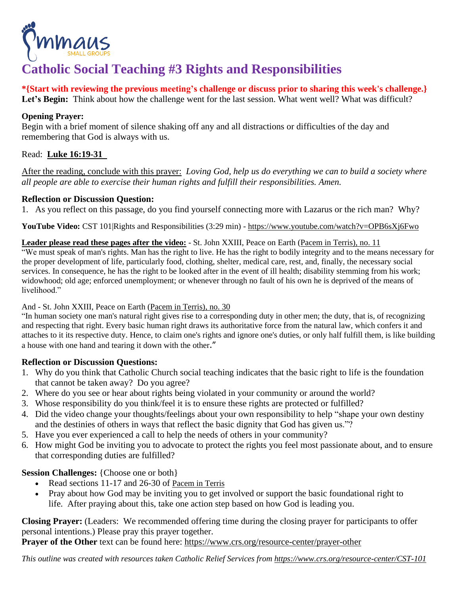

# **Catholic Social Teaching #3 Rights and Responsibilities**

**\*{Start with reviewing the previous meeting's challenge or discuss prior to sharing this week's challenge.}**

Let's **Begin:** Think about how the challenge went for the last session. What went well? What was difficult?

## **Opening Prayer:**

Begin with a brief moment of silence shaking off any and all distractions or difficulties of the day and remembering that God is always with us.

## Read: **Luke [16:19-31](https://bible.usccb.org/bible/luke/16?19)**

After the reading, conclude with this prayer: *Loving God, help us do everything we can to build a society where all people are able to exercise their human rights and fulfill their responsibilities. Amen.*

## **Reflection or Discussion Question:**

1. As you reflect on this passage, do you find yourself connecting more with Lazarus or the rich man? Why?

**YouTube Video:** CST 101|Rights and Responsibilities (3:29 min) - <https://www.youtube.com/watch?v=OPB6sXj6Fwo>

## **Leader please read these pages after the video:** - St. John XXIII, Peace on Earth (Pacem in [Terris\),](https://www.vatican.va/content/john-xxiii/en/encyclicals/documents/hf_j-xxiii_enc_11041963_pacem.html) no. 11

"We must speak of man's rights. Man has the right to live. He has the right to bodily integrity and to the means necessary for the proper development of life, particularly food, clothing, shelter, medical care, rest, and, finally, the necessary social services. In consequence, he has the right to be looked after in the event of ill health; disability stemming from his work; widowhood; old age; enforced unemployment; or whenever through no fault of his own he is deprived of the means of livelihood."

And - St. John XXIII, Peace on Earth (Pacem in [Terris\),](https://www.vatican.va/content/john-xxiii/en/encyclicals/documents/hf_j-xxiii_enc_11041963_pacem.html) no. 30

"In human society one man's natural right gives rise to a corresponding duty in other men; the duty, that is, of recognizing and respecting that right. Every basic human right draws its authoritative force from the natural law, which confers it and attaches to it its respective duty. Hence, to claim one's rights and ignore one's duties, or only half fulfill them, is like building a house with one hand and tearing it down with the other."

## **Reflection or Discussion Questions:**

- 1. Why do you think that Catholic Church social teaching indicates that the basic right to life is the foundation that cannot be taken away? Do you agree?
- 2. Where do you see or hear about rights being violated in your community or around the world?
- 3. Whose responsibility do you think/feel it is to ensure these rights are protected or fulfilled?
- 4. Did the video change your thoughts/feelings about your own responsibility to help "shape your own destiny and the destinies of others in ways that reflect the basic dignity that God has given us."?
- 5. Have you ever experienced a call to help the needs of others in your community?
- 6. How might God be inviting you to advocate to protect the rights you feel most passionate about, and to ensure that corresponding duties are fulfilled?

## **Session Challenges:** {Choose one or both}

- Read sections 11-17 and 26-30 of [Pacem](https://www.vatican.va/content/john-xxiii/en/encyclicals/documents/hf_j-xxiii_enc_11041963_pacem.html) in Terris
- Pray about how God may be inviting you to get involved or support the basic foundational right to life. After praying about this, take one action step based on how God is leading you.

**Closing Prayer:** (Leaders: We recommended offering time during the closing prayer for participants to offer personal intentions.) Please pray this prayer together.

**Prayer of the Other** text can be found here: <https://www.crs.org/resource-center/prayer-other>

*This outline was created with resources taken Catholic Relief Services from <https://www.crs.org/resource-center/CST-101>*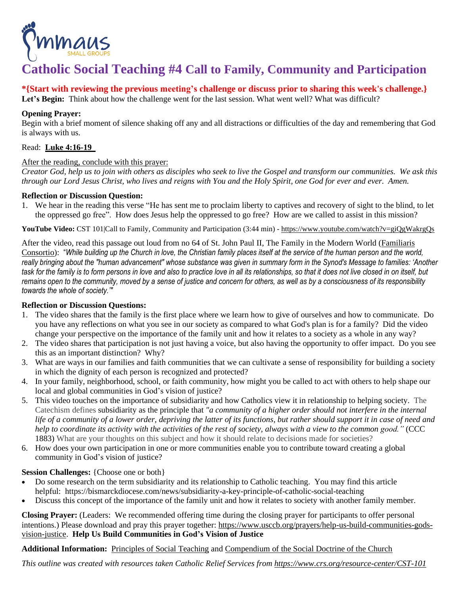

## **Catholic Social Teaching #4 Call to Family, Community and Participation**

## **\*{Start with reviewing the previous meeting's challenge or discuss prior to sharing this week's challenge.}**

Let's **Begin:** Think about how the challenge went for the last session. What went well? What was difficult?

## **Opening Prayer:**

Begin with a brief moment of silence shaking off any and all distractions or difficulties of the day and remembering that God is always with us.

#### Read: **Luke [4:16-19](https://bible.usccb.org/bible/luke/4?16)**

#### After the reading, conclude with this prayer:

Creator God, help us to join with others as disciples who seek to live the Gospel and transform our communities. We ask this through our Lord Jesus Christ, who lives and reigns with You and the Holy Spirit, one God for ever and ever. Amen.

#### **Reflection or Discussion Question:**

1. We hear in the reading this verse "He has sent me to proclaim liberty to captives and recovery of sight to the blind, to let the oppressed go free". How does Jesus help the oppressed to go free? How are we called to assist in this mission?

**YouTube Video:** CST 101|Call to Family, Community and Participation (3:44 min) - <https://www.youtube.com/watch?v=giQgWakrgQs>

After the video, read this passage out loud from no 64 of St. John Paul II, The Family in the Modern World [\(Familiaris](https://www.vatican.va/content/john-paul-ii/en/apost_exhortations/documents/hf_jp-ii_exh_19811122_familiaris-consortio.html) [Consortio\)](https://www.vatican.va/content/john-paul-ii/en/apost_exhortations/documents/hf_jp-ii_exh_19811122_familiaris-consortio.html): "While building up the Church in love, the Christian family places itself at the service of the human person and the world, really bringing about the "human advancement" whose substance was given in summary form in the Synod's Message to families: 'Another task for the family is to form persons in love and also to practice love in all its relationships, so that it does not live closed in on itself, but remains open to the community, moved by a sense of justice and concern for others, as well as by a consciousness of its responsibility *towards the whole of society.'"*

## **Reflection or Discussion Questions:**

- 1. The video shares that the family is the first place where we learn how to give of ourselves and how to communicate. Do you have any reflections on what you see in our society as compared to what God's plan is for a family? Did the video change your perspective on the importance of the family unit and how it relates to a society as a whole in any way?
- 2. The video shares that participation is not just having a voice, but also having the opportunity to offer impact. Do you see this as an important distinction? Why?
- 3. What are ways in our families and faith communities that we can cultivate a sense of responsibility for building a society in which the dignity of each person is recognized and protected?
- 4. In your family, neighborhood, school, or faith community, how might you be called to act with others to help shape our local and global communities in God's vision of justice?
- 5. This video touches on the importance of subsidiarity and how Catholics view it in relationship to helping society. The Catechism defines subsidiarity as the principle that *"a community of a higher order should not interfere in the internal* life of a community of a lower order, depriving the latter of its functions, but rather should support it in case of need and help to coordinate its activity with the activities of the rest of society, always with a view to the common good." (CCC 1883) What are your thoughts on this subject and how it should relate to decisions made for societies?
- 6. How does your own participation in one or more communities enable you to contribute toward creating a global community in God's vision of justice?

#### **Session Challenges:** {Choose one or both}

- Do some research on the term subsidiarity and its relationship to Catholic teaching. You may find this article helpful: https://bismarckdiocese.com/news/subsidiarity-a-key-principle-of-catholic-social-teaching
- Discuss this concept of the importance of the family unit and how it relates to society with another family member.

**Closing Prayer:** (Leaders: We recommended offering time during the closing prayer for participants to offer personal intentions.) Please download and pray this prayer together: [https://www.usccb.org/prayers/help-us-build-communities-gods](https://www.usccb.org/prayers/help-us-build-communities-gods-vision-justice)[vision-justice.](https://www.usccb.org/prayers/help-us-build-communities-gods-vision-justice) **Help Us Build Communities in God's Vision of Justice**

**Additional Information:** [Principles](https://www.catholic.com/magazine/print-edition/seven-principles-of-catholic-social-teaching) of Social Teaching and [Compendium](https://www.vatican.va/roman_curia/pontifical_councils/justpeace/documents/rc_pc_justpeace_doc_20060526_compendio-dott-soc_en.html) of the Social Doctrine of the Church

*This outline was created with resources taken Catholic Relief Services from <https://www.crs.org/resource-center/CST-101>*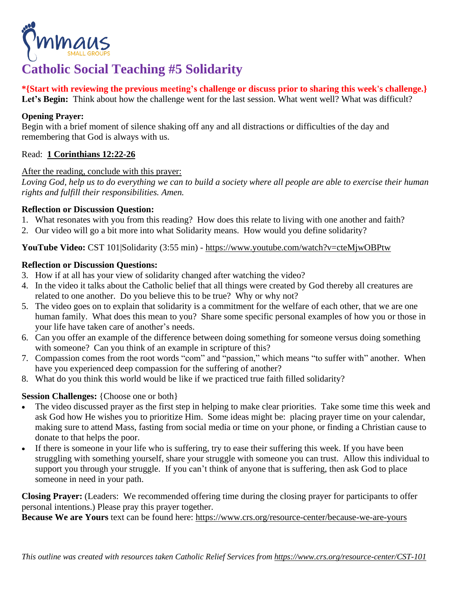

# **Catholic Social Teaching #5 Solidarity**

**\*{Start with reviewing the previous meeting's challenge or discuss prior to sharing this week's challenge.}** Let's Begin: Think about how the challenge went for the last session. What went well? What was difficult?

## **Opening Prayer:**

Begin with a brief moment of silence shaking off any and all distractions or difficulties of the day and remembering that God is always with us.

## Read: **1 [Corinthians](https://bible.usccb.org/bible/1corinthians/12?22) 12:22-26**

## After the reading, conclude with this prayer:

Loving God, help us to do everything we can to build a society where all people are able to exercise their human *rights and fulfill their responsibilities. Amen.*

## **Reflection or Discussion Question:**

- 1. What resonates with you from this reading? How does this relate to living with one another and faith?
- 2. Our video will go a bit more into what Solidarity means. How would you define solidarity?

## **YouTube Video:** CST 101|Solidarity (3:55 min) - <https://www.youtube.com/watch?v=cteMjwOBPtw>

## **Reflection or Discussion Questions:**

- 3. How if at all has your view of solidarity changed after watching the video?
- 4. In the video it talks about the Catholic belief that all things were created by God thereby all creatures are related to one another. Do you believe this to be true? Why or why not?
- 5. The video goes on to explain that solidarity is a commitment for the welfare of each other, that we are one human family. What does this mean to you? Share some specific personal examples of how you or those in your life have taken care of another's needs.
- 6. Can you offer an example of the difference between doing something for someone versus doing something with someone? Can you think of an example in scripture of this?
- 7. Compassion comes from the root words "com" and "passion," which means "to suffer with" another. When have you experienced deep compassion for the suffering of another?
- 8. What do you think this world would be like if we practiced true faith filled solidarity?

## **Session Challenges:** {Choose one or both}

- The video discussed prayer as the first step in helping to make clear priorities. Take some time this week and ask God how He wishes you to prioritize Him. Some ideas might be: placing prayer time on your calendar, making sure to attend Mass, fasting from social media or time on your phone, or finding a Christian cause to donate to that helps the poor.
- If there is someone in your life who is suffering, try to ease their suffering this week. If you have been struggling with something yourself, share your struggle with someone you can trust. Allow this individual to support you through your struggle. If you can't think of anyone that is suffering, then ask God to place someone in need in your path.

**Closing Prayer:** (Leaders: We recommended offering time during the closing prayer for participants to offer personal intentions.) Please pray this prayer together.

**Because We are Yours** text can be found here: <https://www.crs.org/resource-center/because-we-are-yours>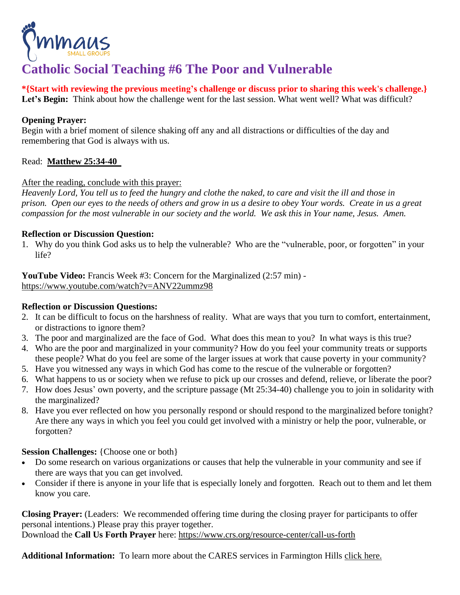

## **Catholic Social Teaching #6 The Poor and Vulnerable**

**\*{Start with reviewing the previous meeting's challenge or discuss prior to sharing this week's challenge.}** Let's **Begin:** Think about how the challenge went for the last session. What went well? What was difficult?

## **Opening Prayer:**

Begin with a brief moment of silence shaking off any and all distractions or difficulties of the day and remembering that God is always with us.

## Read: **[Matthew](https://bible.usccb.org/bible/matthew/25?34) 25:34-40**

## After the reading, conclude with this prayer:

Heavenly Lord, You tell us to feed the hungry and clothe the naked, to care and visit the ill and those in prison. Open our eyes to the needs of others and grow in us a desire to obey Your words. Create in us a great compassion for the most vulnerable in our society and the world. We ask this in Your name, Jesus. Amen.

## **Reflection or Discussion Question:**

1. Why do you think God asks us to help the vulnerable? Who are the "vulnerable, poor, or forgotten" in your life?

**YouTube Video:** Francis Week #3: Concern for the Marginalized (2:57 min) <https://www.youtube.com/watch?v=ANV22ummz98>

## **Reflection or Discussion Questions:**

- 2. It can be difficult to focus on the harshness of reality. What are ways that you turn to comfort, entertainment, or distractions to ignore them?
- 3. The poor and marginalized are the face of God. What does this mean to you? In what ways is this true?
- 4. Who are the poor and marginalized in your community? How do you feel your community treats or supports these people? What do you feel are some of the larger issues at work that cause poverty in your community?
- 5. Have you witnessed any ways in which God has come to the rescue of the vulnerable or forgotten?
- 6. What happens to us or society when we refuse to pick up our crosses and defend, relieve, or liberate the poor?
- 7. How does Jesus' own poverty, and the scripture passage (Mt 25:34-40) challenge you to join in solidarity with the marginalized?
- 8. Have you ever reflected on how you personally respond or should respond to the marginalized before tonight? Are there any ways in which you feel you could get involved with a ministry or help the poor, vulnerable, or forgotten?

## **Session Challenges:** {Choose one or both}

- Do some research on various organizations or causes that help the vulnerable in your community and see if there are ways that you can get involved.
- Consider if there is anyone in your life that is especially lonely and forgotten. Reach out to them and let them know you care.

**Closing Prayer:** (Leaders: We recommended offering time during the closing prayer for participants to offer personal intentions.) Please pray this prayer together.

Download the **Call Us Forth Prayer** here: <https://www.crs.org/resource-center/call-us-forth>

**Additional Information:** To learn more about the CARES services in Farmington Hills click [here.](https://caresfh.org/services/)